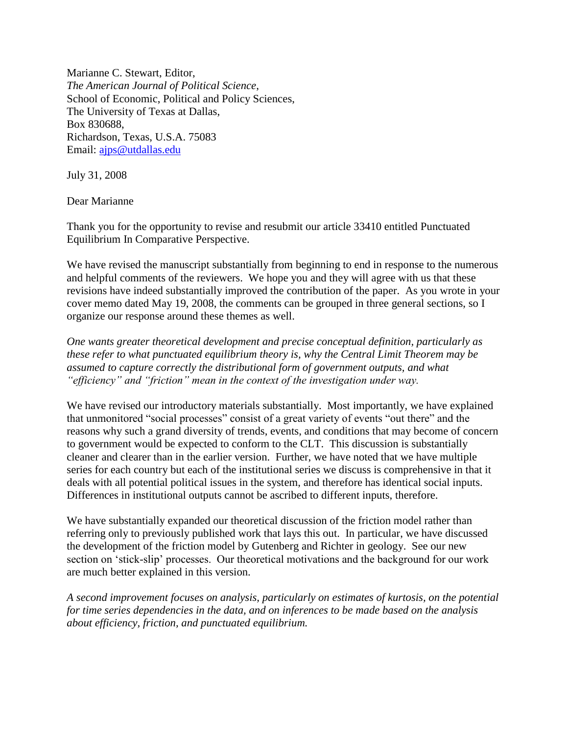Marianne C. Stewart, Editor, *The American Journal of Political Science*, School of Economic, Political and Policy Sciences, The University of Texas at Dallas, Box 830688, Richardson, Texas, U.S.A. 75083 Email: [ajps@utdallas.edu](mailto:ajps@utdallas.edu)

July 31, 2008

Dear Marianne

Thank you for the opportunity to revise and resubmit our article 33410 entitled Punctuated Equilibrium In Comparative Perspective.

We have revised the manuscript substantially from beginning to end in response to the numerous and helpful comments of the reviewers. We hope you and they will agree with us that these revisions have indeed substantially improved the contribution of the paper. As you wrote in your cover memo dated May 19, 2008, the comments can be grouped in three general sections, so I organize our response around these themes as well.

*One wants greater theoretical development and precise conceptual definition, particularly as these refer to what punctuated equilibrium theory is, why the Central Limit Theorem may be assumed to capture correctly the distributional form of government outputs, and what "efficiency" and "friction" mean in the context of the investigation under way.* 

We have revised our introductory materials substantially. Most importantly, we have explained that unmonitored "social processes" consist of a great variety of events "out there" and the reasons why such a grand diversity of trends, events, and conditions that may become of concern to government would be expected to conform to the CLT. This discussion is substantially cleaner and clearer than in the earlier version. Further, we have noted that we have multiple series for each country but each of the institutional series we discuss is comprehensive in that it deals with all potential political issues in the system, and therefore has identical social inputs. Differences in institutional outputs cannot be ascribed to different inputs, therefore.

We have substantially expanded our theoretical discussion of the friction model rather than referring only to previously published work that lays this out. In particular, we have discussed the development of the friction model by Gutenberg and Richter in geology. See our new section on 'stick-slip' processes. Our theoretical motivations and the background for our work are much better explained in this version.

*A second improvement focuses on analysis, particularly on estimates of kurtosis, on the potential for time series dependencies in the data, and on inferences to be made based on the analysis about efficiency, friction, and punctuated equilibrium.*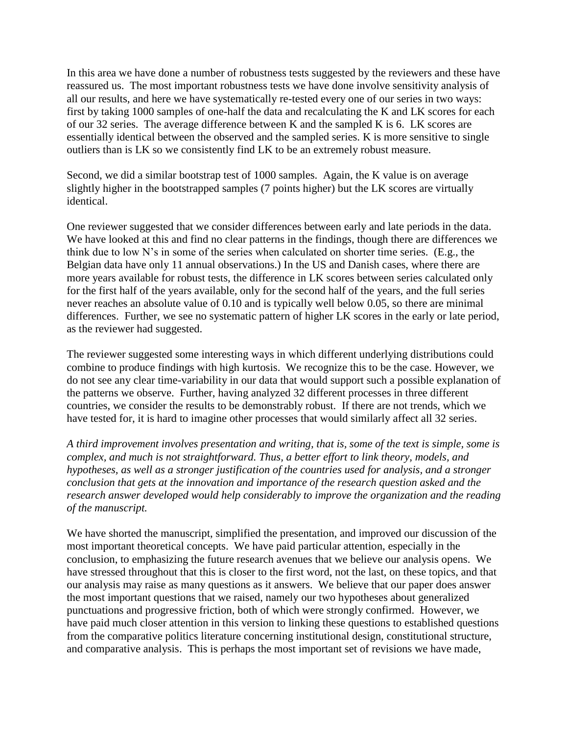In this area we have done a number of robustness tests suggested by the reviewers and these have reassured us. The most important robustness tests we have done involve sensitivity analysis of all our results, and here we have systematically re-tested every one of our series in two ways: first by taking 1000 samples of one-half the data and recalculating the K and LK scores for each of our 32 series. The average difference between K and the sampled K is 6. LK scores are essentially identical between the observed and the sampled series. K is more sensitive to single outliers than is LK so we consistently find LK to be an extremely robust measure.

Second, we did a similar bootstrap test of 1000 samples. Again, the K value is on average slightly higher in the bootstrapped samples (7 points higher) but the LK scores are virtually identical.

One reviewer suggested that we consider differences between early and late periods in the data. We have looked at this and find no clear patterns in the findings, though there are differences we think due to low N's in some of the series when calculated on shorter time series. (E.g., the Belgian data have only 11 annual observations.) In the US and Danish cases, where there are more years available for robust tests, the difference in LK scores between series calculated only for the first half of the years available, only for the second half of the years, and the full series never reaches an absolute value of 0.10 and is typically well below 0.05, so there are minimal differences. Further, we see no systematic pattern of higher LK scores in the early or late period, as the reviewer had suggested.

The reviewer suggested some interesting ways in which different underlying distributions could combine to produce findings with high kurtosis. We recognize this to be the case. However, we do not see any clear time-variability in our data that would support such a possible explanation of the patterns we observe. Further, having analyzed 32 different processes in three different countries, we consider the results to be demonstrably robust. If there are not trends, which we have tested for, it is hard to imagine other processes that would similarly affect all 32 series.

*A third improvement involves presentation and writing, that is, some of the text is simple, some is complex, and much is not straightforward. Thus, a better effort to link theory, models, and hypotheses, as well as a stronger justification of the countries used for analysis, and a stronger conclusion that gets at the innovation and importance of the research question asked and the research answer developed would help considerably to improve the organization and the reading of the manuscript.* 

We have shorted the manuscript, simplified the presentation, and improved our discussion of the most important theoretical concepts. We have paid particular attention, especially in the conclusion, to emphasizing the future research avenues that we believe our analysis opens. We have stressed throughout that this is closer to the first word, not the last, on these topics, and that our analysis may raise as many questions as it answers. We believe that our paper does answer the most important questions that we raised, namely our two hypotheses about generalized punctuations and progressive friction, both of which were strongly confirmed. However, we have paid much closer attention in this version to linking these questions to established questions from the comparative politics literature concerning institutional design, constitutional structure, and comparative analysis. This is perhaps the most important set of revisions we have made,